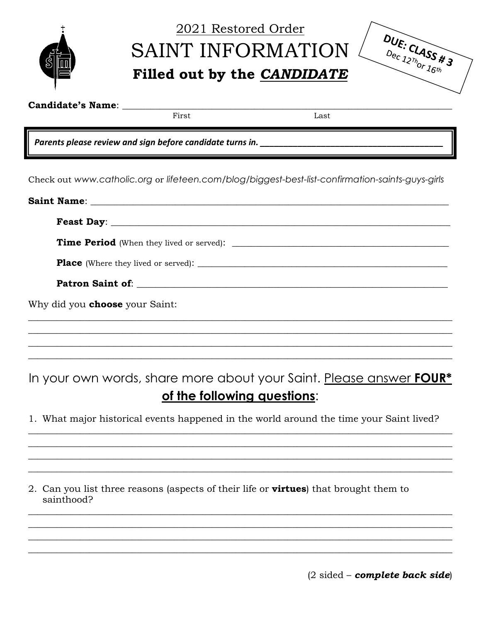| \$<br>画 |
|---------|

## 2021 Restored Order SAINT INFORMATION ( Filled out by the CANDIDATE

|  | DUE: $C\Lambda$ ASS # 3<br>Dec $12\eta_{0r}$ $16\eta$ |  |
|--|-------------------------------------------------------|--|
|  |                                                       |  |

**Candidate's Name:** 

First

Last

Parents please review and sign before candidate turns in.

Check out www.catholic.org or lifeteen.com/blog/biggest-best-list-confirmation-saints-guys-girls

| Feast Day: $\qquad \qquad$            |
|---------------------------------------|
|                                       |
|                                       |
|                                       |
| Why did you <b>choose</b> your Saint: |
|                                       |
|                                       |

In your own words, share more about your Saint. Please answer FOUR\* of the following questions:

1. What major historical events happened in the world around the time your Saint lived?

2. Can you list three reasons (aspects of their life or **virtues**) that brought them to sainthood?